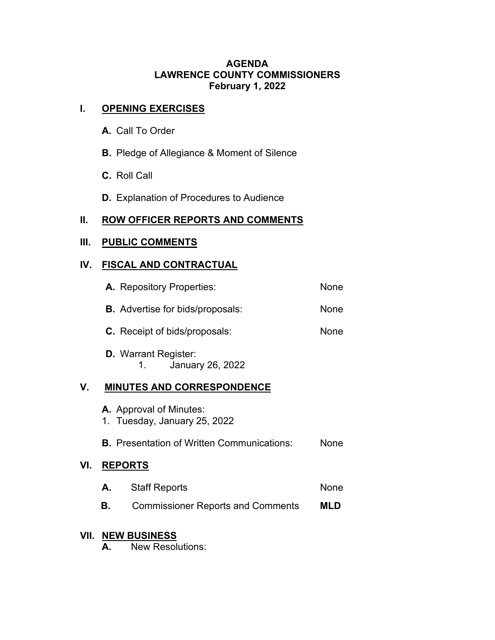### **AGENDA LAWRENCE COUNTY COMMISSIONERS February 1, 2022**

# **I. OPENING EXERCISES**

- **A.** Call To Order
- **B.** Pledge of Allegiance & Moment of Silence
- **C.** Roll Call
- **D.** Explanation of Procedures to Audience

## **II. ROW OFFICER REPORTS AND COMMENTS**

# **III. PUBLIC COMMENTS**

## **IV. FISCAL AND CONTRACTUAL**

|     | <b>A.</b> Repository Properties:                        | None |
|-----|---------------------------------------------------------|------|
|     | <b>B.</b> Advertise for bids/proposals:                 | None |
|     | <b>C.</b> Receipt of bids/proposals:                    | None |
|     | <b>D.</b> Warrant Register:<br>January 26, 2022<br>1.   |      |
| V.  | <b>MINUTES AND CORRESPONDENCE</b>                       |      |
|     | A. Approval of Minutes:<br>1. Tuesday, January 25, 2022 |      |
|     | <b>B.</b> Presentation of Written Communications:       | None |
| VI. | <b>REPORTS</b>                                          |      |
|     | <b>Staff Reports</b><br>А.                              | None |
|     |                                                         |      |

**B.** Commissioner Reports and Comments **MLD**

# **VII. NEW BUSINESS**

**VI. REPORTS** 

**A.** New Resolutions: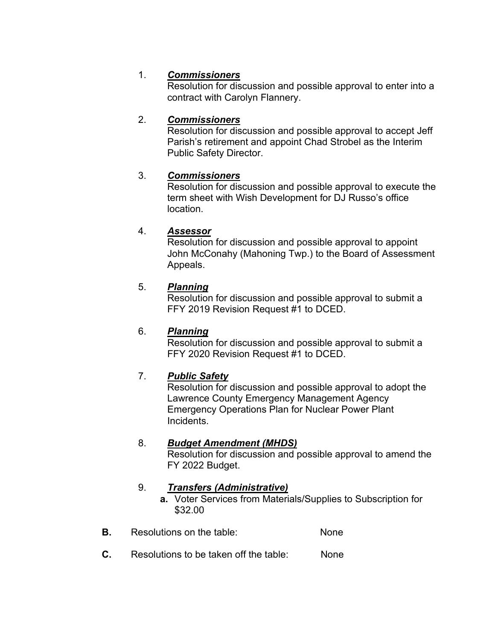# 1. *Commissioners*

Resolution for discussion and possible approval to enter into a contract with Carolyn Flannery.

## 2. *Commissioners*

Resolution for discussion and possible approval to accept Jeff Parish's retirement and appoint Chad Strobel as the Interim Public Safety Director.

## 3. *Commissioners*

Resolution for discussion and possible approval to execute the term sheet with Wish Development for DJ Russo's office location.

## 4. *Assessor*

Resolution for discussion and possible approval to appoint John McConahy (Mahoning Twp.) to the Board of Assessment Appeals.

## 5. *Planning*

Resolution for discussion and possible approval to submit a FFY 2019 Revision Request #1 to DCED.

## 6. *Planning*

Resolution for discussion and possible approval to submit a FFY 2020 Revision Request #1 to DCED.

## 7. *Public Safety*

Resolution for discussion and possible approval to adopt the Lawrence County Emergency Management Agency Emergency Operations Plan for Nuclear Power Plant Incidents.

### 8. *Budget Amendment (MHDS)*

Resolution for discussion and possible approval to amend the FY 2022 Budget.

## 9. *Transfers (Administrative)*

- **a.** Voter Services from Materials/Supplies to Subscription for \$32.00
- **B.** Resolutions on the table: None
- **C.** Resolutions to be taken off the table: None